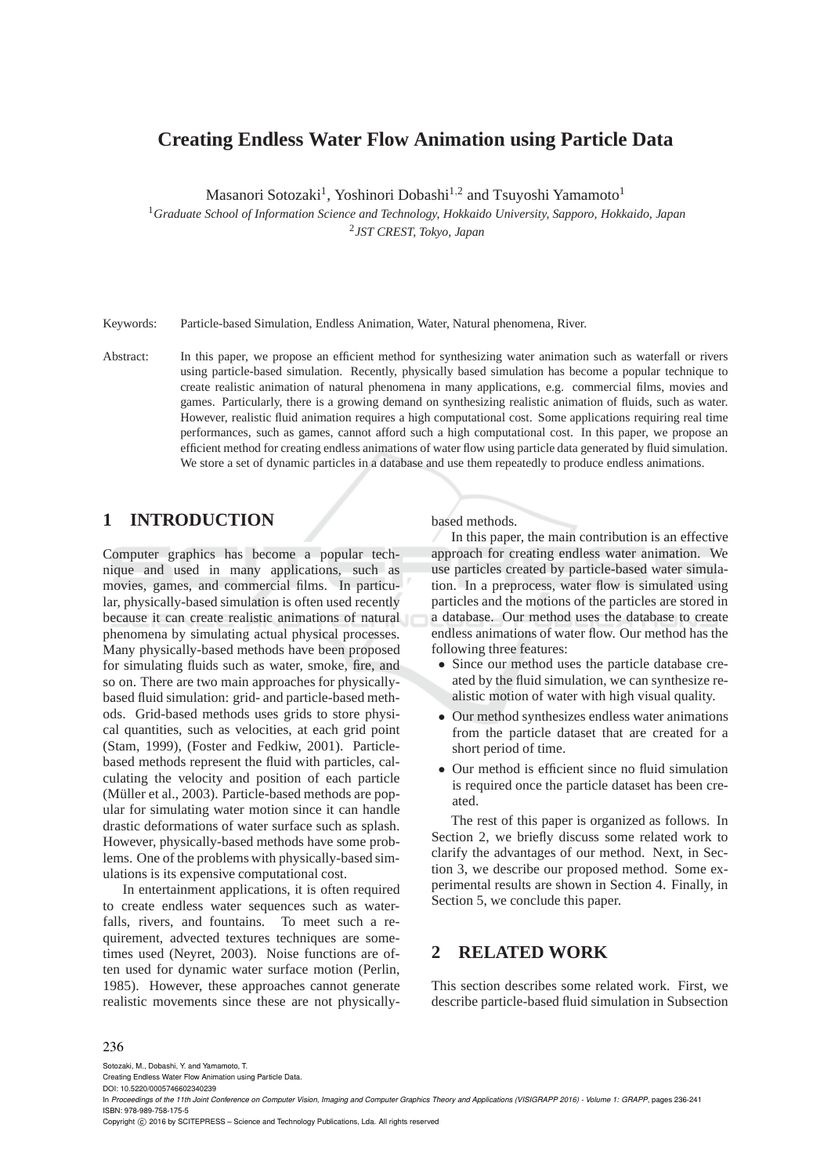# **Creating Endless Water Flow Animation using Particle Data**

Masanori Sotozaki<sup>1</sup>, Yoshinori Dobashi<sup>1,2</sup> and Tsuyoshi Yamamoto<sup>1</sup>

<sup>1</sup>*Graduate School of Information Science and Technology, Hokkaido University, Sapporo, Hokkaido, Japan*

2 *JST CREST, Tokyo, Japan*

Keywords: Particle-based Simulation, Endless Animation, Water, Natural phenomena, River.

Abstract: In this paper, we propose an efficient method for synthesizing water animation such as waterfall or rivers using particle-based simulation. Recently, physically based simulation has become a popular technique to create realistic animation of natural phenomena in many applications, e.g. commercial films, movies and games. Particularly, there is a growing demand on synthesizing realistic animation of fluids, such as water. However, realistic fluid animation requires a high computational cost. Some applications requiring real time performances, such as games, cannot afford such a high computational cost. In this paper, we propose an efficient method for creating endless animations of water flow using particle data generated by fluid simulation. We store a set of dynamic particles in a database and use them repeatedly to produce endless animations.

## **1 INTRODUCTION**

Computer graphics has become a popular technique and used in many applications, such as movies, games, and commercial films. In particular, physically-based simulation is often used recently because it can create realistic animations of natural phenomena by simulating actual physical processes. Many physically-based methods have been proposed for simulating fluids such as water, smoke, fire, and so on. There are two main approaches for physicallybased fluid simulation: grid- and particle-based methods. Grid-based methods uses grids to store physical quantities, such as velocities, at each grid point (Stam, 1999), (Foster and Fedkiw, 2001). Particlebased methods represent the fluid with particles, calculating the velocity and position of each particle (Müller et al., 2003). Particle-based methods are popular for simulating water motion since it can handle drastic deformations of water surface such as splash. However, physically-based methods have some problems. One of the problems with physically-based simulations is its expensive computational cost.

In entertainment applications, it is often required to create endless water sequences such as waterfalls, rivers, and fountains. To meet such a requirement, advected textures techniques are sometimes used (Neyret, 2003). Noise functions are often used for dynamic water surface motion (Perlin, 1985). However, these approaches cannot generate realistic movements since these are not physicallybased methods.

In this paper, the main contribution is an effective approach for creating endless water animation. We use particles created by particle-based water simulation. In a preprocess, water flow is simulated using particles and the motions of the particles are stored in a database. Our method uses the database to create endless animations of water flow. Our method has the following three features:

- Since our method uses the particle database created by the fluid simulation, we can synthesize realistic motion of water with high visual quality.
- Our method synthesizes endless water animations from the particle dataset that are created for a short period of time.
- Our method is efficient since no fluid simulation is required once the particle dataset has been created.

The rest of this paper is organized as follows. In Section 2, we briefly discuss some related work to clarify the advantages of our method. Next, in Section 3, we describe our proposed method. Some experimental results are shown in Section 4. Finally, in Section 5, we conclude this paper.

## **2 RELATED WORK**

This section describes some related work. First, we describe particle-based fluid simulation in Subsection

#### 236

Sotozaki, M., Dobashi, Y. and Yamamoto, T.

Copyright  $\odot$  2016 by SCITEPRESS - Science and Technology Publications, Lda. All rights reserved

Creating Endless Water Flow Animation using Particle Data. DOI: 10.5220/0005746602340239

In *Proceedings of the 11th Joint Conference on Computer Vision, Imaging and Computer Graphics Theory and Applications (VISIGRAPP 2016) - Volume 1: GRAPP*, pages 236-241 ISBN: 978-989-758-175-5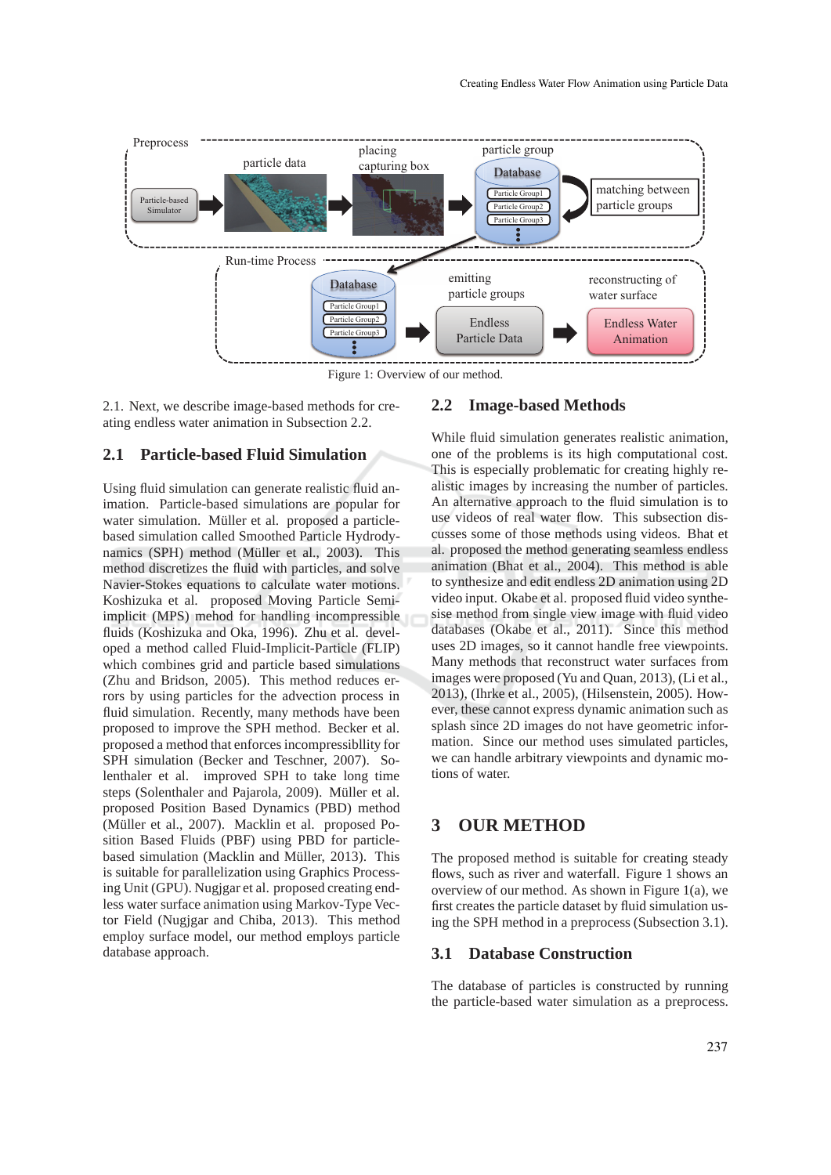

Figure 1: Overview of our method.

2.1. Next, we describe image-based methods for creating endless water animation in Subsection 2.2.

### **2.1 Particle-based Fluid Simulation**

Using fluid simulation can generate realistic fluid animation. Particle-based simulations are popular for water simulation. Müller et al. proposed a particlebased simulation called Smoothed Particle Hydrodynamics (SPH) method (Müller et al., 2003). This method discretizes the fluid with particles, and solve Navier-Stokes equations to calculate water motions. Koshizuka et al. proposed Moving Particle Semiimplicit (MPS) mehod for handling incompressible fluids (Koshizuka and Oka, 1996). Zhu et al. developed a method called Fluid-Implicit-Particle (FLIP) which combines grid and particle based simulations (Zhu and Bridson, 2005). This method reduces errors by using particles for the advection process in fluid simulation. Recently, many methods have been proposed to improve the SPH method. Becker et al. proposed a method that enforces incompressibllity for SPH simulation (Becker and Teschner, 2007). Solenthaler et al. improved SPH to take long time steps (Solenthaler and Pajarola, 2009). Müller et al. proposed Position Based Dynamics (PBD) method (Müller et al., 2007). Macklin et al. proposed Position Based Fluids (PBF) using PBD for particlebased simulation (Macklin and Müller, 2013). This is suitable for parallelization using Graphics Processing Unit (GPU). Nugjgar et al. proposed creating endless water surface animation using Markov-Type Vector Field (Nugjgar and Chiba, 2013). This method employ surface model, our method employs particle database approach.

### **2.2 Image-based Methods**

While fluid simulation generates realistic animation, one of the problems is its high computational cost. This is especially problematic for creating highly realistic images by increasing the number of particles. An alternative approach to the fluid simulation is to use videos of real water flow. This subsection discusses some of those methods using videos. Bhat et al. proposed the method generating seamless endless animation (Bhat et al., 2004). This method is able to synthesize and edit endless 2D animation using 2D video input. Okabe et al. proposed fluid video synthesise method from single view image with fluid video databases (Okabe et al., 2011). Since this method uses 2D images, so it cannot handle free viewpoints. Many methods that reconstruct water surfaces from images were proposed (Yu and Quan, 2013), (Li et al., 2013), (Ihrke et al., 2005), (Hilsenstein, 2005). However, these cannot express dynamic animation such as splash since 2D images do not have geometric information. Since our method uses simulated particles, we can handle arbitrary viewpoints and dynamic motions of water.

## **3 OUR METHOD**

The proposed method is suitable for creating steady flows, such as river and waterfall. Figure 1 shows an overview of our method. As shown in Figure 1(a), we first creates the particle dataset by fluid simulation using the SPH method in a preprocess (Subsection 3.1).

### **3.1 Database Construction**

The database of particles is constructed by running the particle-based water simulation as a preprocess.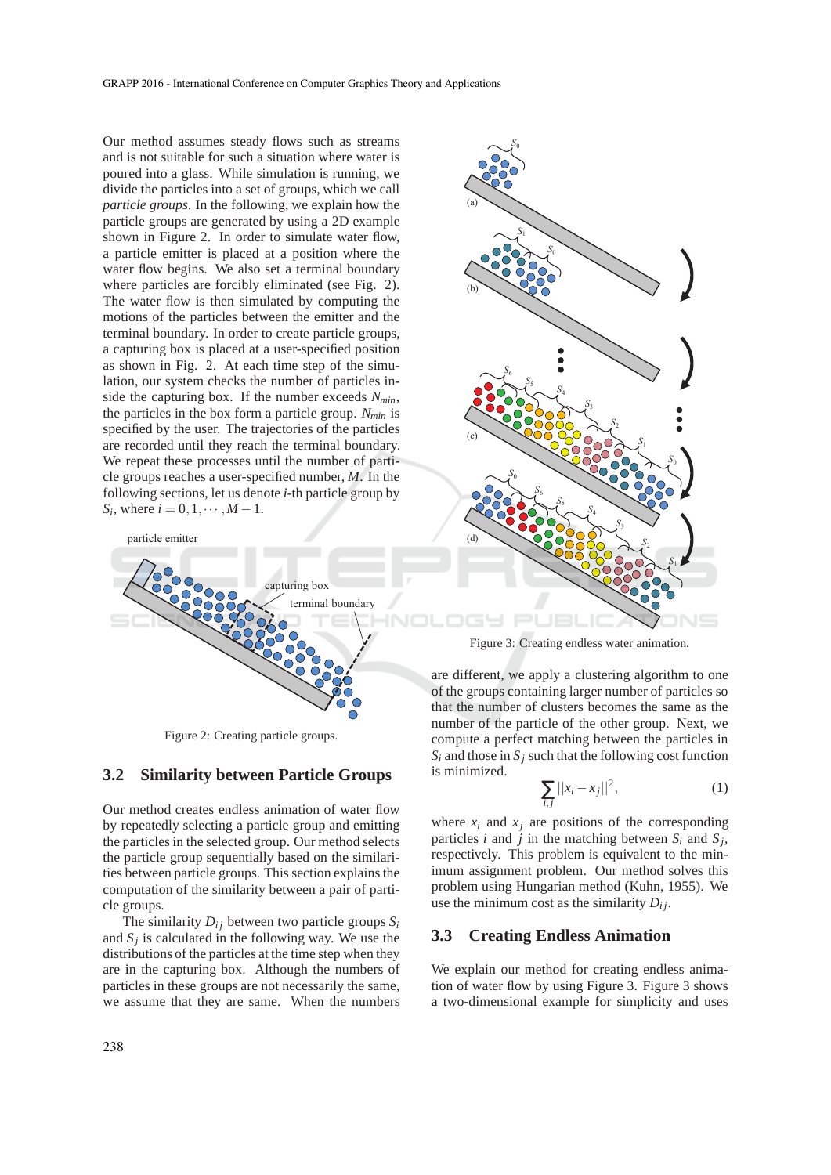Our method assumes steady flows such as streams and is not suitable for such a situation where water is poured into a glass. While simulation is running, we divide the particles into a set of groups, which we call *particle groups*. In the following, we explain how the particle groups are generated by using a 2D example shown in Figure 2. In order to simulate water flow, a particle emitter is placed at a position where the water flow begins. We also set a terminal boundary where particles are forcibly eliminated (see Fig. 2). The water flow is then simulated by computing the motions of the particles between the emitter and the terminal boundary. In order to create particle groups, a capturing box is placed at a user-specified position as shown in Fig. 2. At each time step of the simulation, our system checks the number of particles inside the capturing box. If the number exceeds *Nmin*, the particles in the box form a particle group. *Nmin* is specified by the user. The trajectories of the particles are recorded until they reach the terminal boundary. We repeat these processes until the number of particle groups reaches a user-specified number, M. In the following sections, let us denote *i*-th particle group by *S*<sup>*i*</sup>, where  $i = 0, 1, \dots, M - 1$ . 䝟䞊䝔䜱䜽䝹䝉䝑䝖



Figure 2: Creating particle groups.

#### **3.2 Similarity between Particle Groups**

Our method creates endless animation of water flow by repeatedly selecting a particle group and emitting the particles in the selected group. Our method selects the particle group sequentially based on the similarities between particle groups. This section explains the computation of the similarity between a pair of particle groups.

The similarity  $D_{ij}$  between two particle groups  $S_i$ and  $S_j$  is calculated in the following way. We use the distributions of the particles at the time step when they are in the capturing box. Although the numbers of particles in these groups are not necessarily the same, we assume that they are same. When the numbers



Figure 3: Creating endless water animation.

are different, we apply a clustering algorithm to one of the groups containing larger number of particles so that the number of clusters becomes the same as the number of the particle of the other group. Next, we compute a perfect matching between the particles in  $S_i$  and those in  $S_i$  such that the following cost function is minimized.

$$
\sum_{i,j} ||x_i - x_j||^2,
$$
 (1)

where  $x_i$  and  $x_j$  are positions of the corresponding particles *i* and *j* in the matching between  $S_i$  and  $S_j$ , respectively. This problem is equivalent to the minimum assignment problem. Our method solves this problem using Hungarian method (Kuhn, 1955). We use the minimum cost as the similarity  $D_{ij}$ .

#### **3.3 Creating Endless Animation**

We explain our method for creating endless animation of water flow by using Figure 3. Figure 3 shows a two-dimensional example for simplicity and uses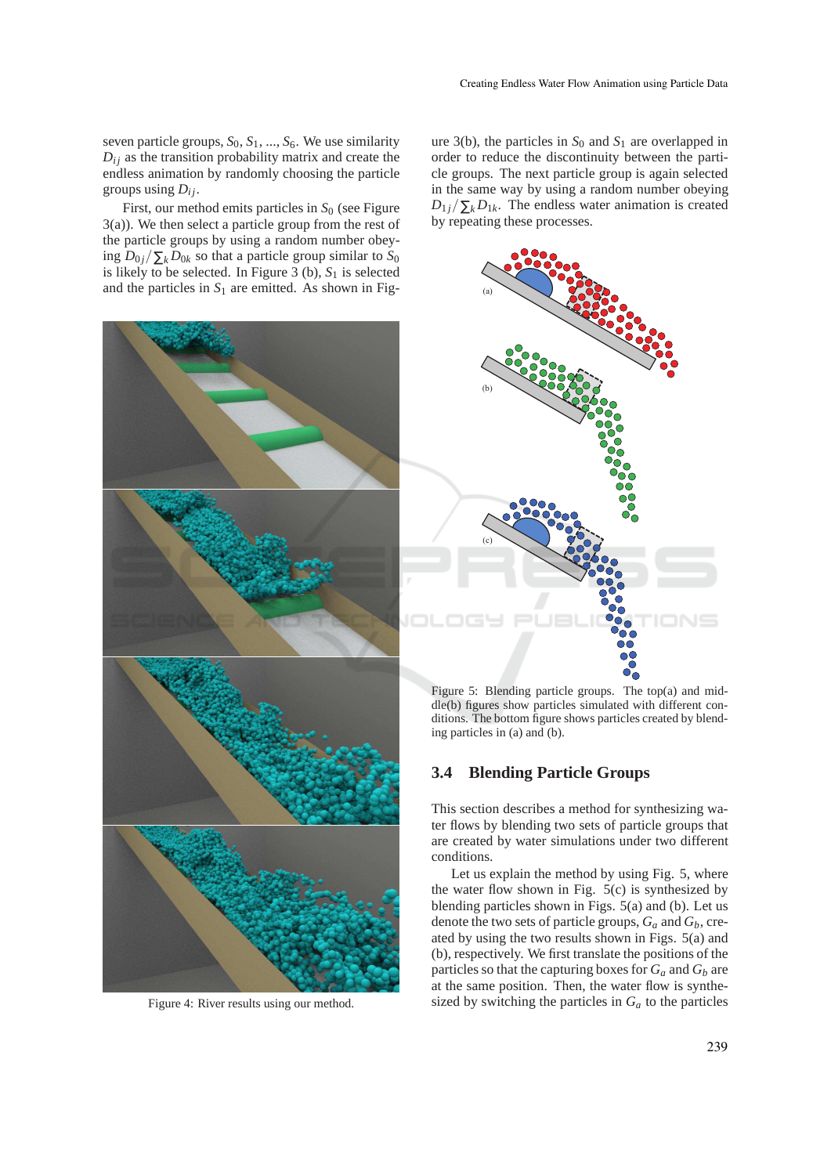seven particle groups, *S*0, *S*1, ..., *S*6. We use similarity  $D_{ij}$  as the transition probability matrix and create the endless animation by randomly choosing the particle groups using  $D_{ij}$ .

First, our method emits particles in  $S_0$  (see Figure 3(a)). We then select a particle group from the rest of the particle groups by using a random number obeying  $D_{0j}/\sum_{k} D_{0k}$  so that a particle group similar to  $S_0$ is likely to be selected. In Figure  $3$  (b),  $S_1$  is selected and the particles in  $S_1$  are emitted. As shown in Fig-



Figure 4: River results using our method.

ure 3(b), the particles in  $S_0$  and  $S_1$  are overlapped in order to reduce the discontinuity between the particle groups. The next particle group is again selected in the same way by using a random number obeying  $D_{1j}/\sum_{k} D_{1k}$ . The endless water animation is created by repeating these processes.



Figure 5: Blending particle groups. The top(a) and middle(b) figures show particles simulated with different conditions. The bottom figure shows particles created by blending particles in (a) and (b).

## **3.4 Blending Particle Groups**

This section describes a method for synthesizing water flows by blending two sets of particle groups that are created by water simulations under two different conditions.

Let us explain the method by using Fig. 5, where the water flow shown in Fig.  $5(c)$  is synthesized by blending particles shown in Figs. 5(a) and (b). Let us denote the two sets of particle groups, *G<sup>a</sup>* and *Gb*, created by using the two results shown in Figs. 5(a) and (b), respectively. We first translate the positions of the particles so that the capturing boxes for  $G_a$  and  $G_b$  are at the same position. Then, the water flow is synthesized by switching the particles in  $G_a$  to the particles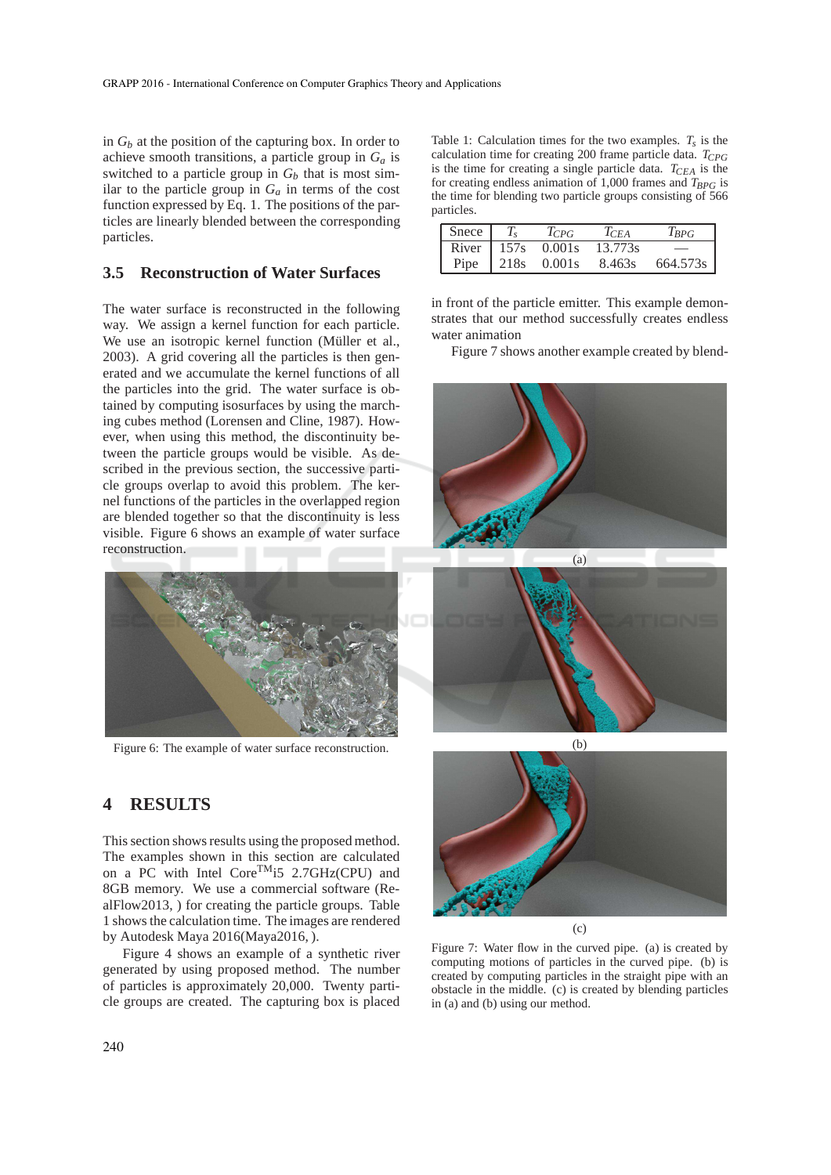in *G<sup>b</sup>* at the position of the capturing box. In order to achieve smooth transitions, a particle group in *G<sup>a</sup>* is switched to a particle group in  $G_b$  that is most similar to the particle group in  $G_a$  in terms of the cost function expressed by Eq. 1. The positions of the particles are linearly blended between the corresponding particles.

### **3.5 Reconstruction of Water Surfaces**

The water surface is reconstructed in the following way. We assign a kernel function for each particle. We use an isotropic kernel function (Müller et al., 2003). A grid covering all the particles is then generated and we accumulate the kernel functions of all the particles into the grid. The water surface is obtained by computing isosurfaces by using the marching cubes method (Lorensen and Cline, 1987). However, when using this method, the discontinuity between the particle groups would be visible. As described in the previous section, the successive particle groups overlap to avoid this problem. The kernel functions of the particles in the overlapped region are blended together so that the discontinuity is less visible. Figure 6 shows an example of water surface reconstruction.



Figure 6: The example of water surface reconstruction.

# **4 RESULTS**

This section shows results using the proposed method. The examples shown in this section are calculated on a PC with Intel Core<sup>TM</sup>i5 2.7GHz(CPU) and 8GB memory. We use a commercial software (RealFlow2013, ) for creating the particle groups. Table 1 shows the calculation time. The images are rendered by Autodesk Maya 2016(Maya2016, ).

Figure 4 shows an example of a synthetic river generated by using proposed method. The number of particles is approximately 20,000. Twenty particle groups are created. The capturing box is placed

Table 1: Calculation times for the two examples.  $T_s$  is the calculation time for creating 200 frame particle data. *TCPG* is the time for creating a single particle data. *TCEA* is the for creating endless animation of 1,000 frames and  $T_{BPG}$  is the time for blending two particle groups consisting of 566 particles.

| Snece $\mid T_s$ | $T_{CPG}$                             | $T_{CFA}$ | $I_{BPG}$ |
|------------------|---------------------------------------|-----------|-----------|
|                  | $\overline{\text{River}}$ 157s 0.001s | 13.773s   |           |
|                  | Pipe   $218s$ 0.001s                  | 8.463s    | 664.573s  |

in front of the particle emitter. This example demonstrates that our method successfully creates endless water animation

Figure 7 shows another example created by blend-









Figure 7: Water flow in the curved pipe. (a) is created by computing motions of particles in the curved pipe. (b) is created by computing particles in the straight pipe with an obstacle in the middle. (c) is created by blending particles in (a) and (b) using our method.